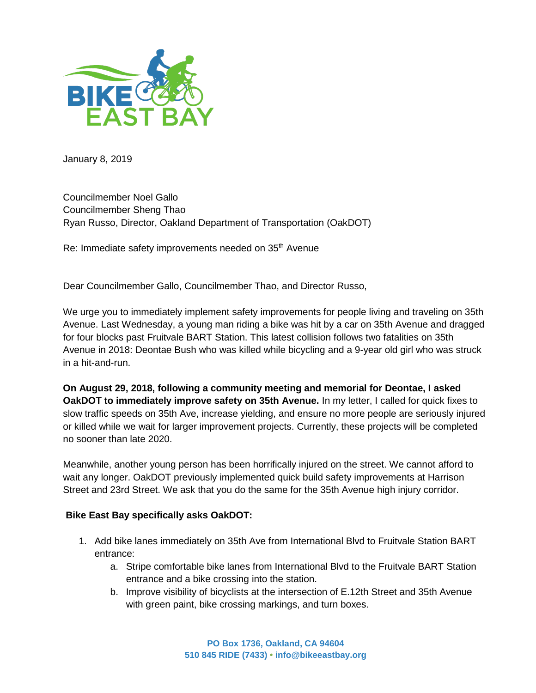

January 8, 2019

Councilmember Noel Gallo Councilmember Sheng Thao Ryan Russo, Director, Oakland Department of Transportation (OakDOT)

Re: Immediate safety improvements needed on 35<sup>th</sup> Avenue

Dear Councilmember Gallo, Councilmember Thao, and Director Russo,

We urge you to immediately implement safety improvements for people living and traveling on 35th Avenue. Last Wednesday, a young man riding a bike was hit by a car on 35th Avenue and dragged for four blocks past Fruitvale BART Station. This latest collision follows two fatalities on 35th Avenue in 2018: Deontae Bush who was killed while bicycling and a 9-year old girl who was struck in a hit-and-run.

**On August 29, 2018, following a community meeting and memorial for Deontae, I asked OakDOT to immediately improve safety on 35th Avenue.** In my letter, I called for quick fixes to slow traffic speeds on 35th Ave, increase yielding, and ensure no more people are seriously injured or killed while we wait for larger improvement projects. Currently, these projects will be completed no sooner than late 2020.

Meanwhile, another young person has been horrifically injured on the street. We cannot afford to wait any longer. OakDOT previously implemented quick build safety improvements at Harrison Street and 23rd Street. We ask that you do the same for the 35th Avenue high injury corridor.

## **Bike East Bay specifically asks OakDOT:**

- 1. Add bike lanes immediately on 35th Ave from International Blvd to Fruitvale Station BART entrance:
	- a. Stripe comfortable bike lanes from International Blvd to the Fruitvale BART Station entrance and a bike crossing into the station.
	- b. Improve visibility of bicyclists at the intersection of E.12th Street and 35th Avenue with green paint, bike crossing markings, and turn boxes.